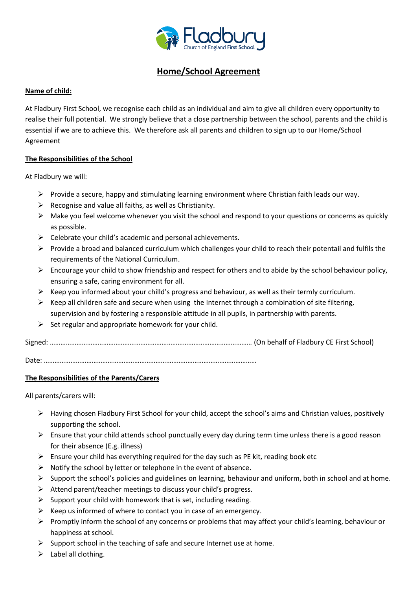

# **Home/School Agreement**

## **Name of child:**

At Fladbury First School, we recognise each child as an individual and aim to give all children every opportunity to realise their full potential. We strongly believe that a close partnership between the school, parents and the child is essential if we are to achieve this. We therefore ask all parents and children to sign up to our Home/School Agreement

#### **The Responsibilities of the School**

At Fladbury we will:

- $\triangleright$  Provide a secure, happy and stimulating learning environment where Christian faith leads our way.
- $\triangleright$  Recognise and value all faiths, as well as Christianity.
- $\triangleright$  Make you feel welcome whenever you visit the school and respond to your questions or concerns as quickly as possible.
- $\triangleright$  Celebrate your child's academic and personal achievements.
- Provide a broad and balanced curriculum which challenges your child to reach their potentail and fulfils the requirements of the National Curriculum.
- $\triangleright$  Encourage your child to show friendship and respect for others and to abide by the school behaviour policy, ensuring a safe, caring environment for all.
- $\triangleright$  Keep you informed about your chilld's progress and behaviour, as well as their termly curriculum.
- $\triangleright$  Keep all children safe and secure when using the Internet through a combination of site filtering, supervision and by fostering a responsible attitude in all pupils, in partnership with parents.
- $\triangleright$  Set regular and appropriate homework for your child.

Signed: …………………………………………………………………………………………………… (On behalf of Fladbury CE First School)

Date: …………………………………………………………………………………………………………

## **The Responsibilities of the Parents/Carers**

All parents/carers will:

- $\triangleright$  Having chosen Fladbury First School for your child, accept the school's aims and Christian values, positively supporting the school.
- $\triangleright$  Ensure that your child attends school punctually every day during term time unless there is a good reason for their absence (E.g. illness)
- $\triangleright$  Ensure your child has everything required for the day such as PE kit, reading book etc
- $\triangleright$  Notify the school by letter or telephone in the event of absence.
- $\triangleright$  Support the school's policies and guidelines on learning, behaviour and uniform, both in school and at home.
- $\triangleright$  Attend parent/teacher meetings to discuss your child's progress.
- $\triangleright$  Support your child with homework that is set, including reading.
- $\triangleright$  Keep us informed of where to contact you in case of an emergency.
- $\triangleright$  Promptly inform the school of any concerns or problems that may affect your child's learning, behaviour or happiness at school.
- $\triangleright$  Support school in the teaching of safe and secure Internet use at home.
- $\triangleright$  Label all clothing.